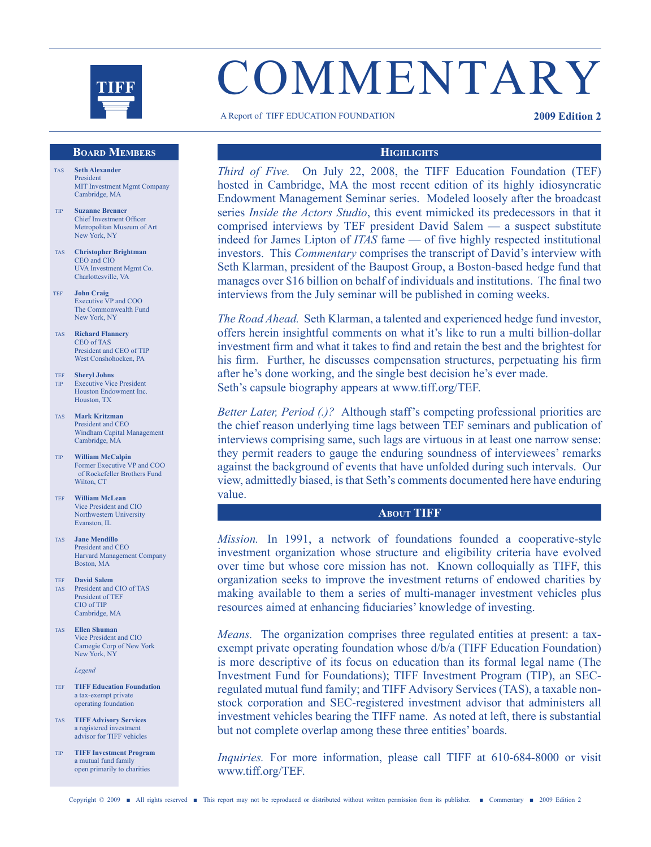

# **COMMENTARY**

A Report of TIFF EDUCATION FOUNDATION **2009 Edition 2**

# **Board Members**

- TAS **Seth Alexander** President MIT Investment Mgmt Company Cambridge, MA
- TIP **Suzanne Brenner** Chief Investment Officer Metropolitan Museum of Art New York, NY
- TAS **Christopher Brightman** CEO and CIO UVA Investment Mgmt Co. Charlottesville, VA
- TEF **John Craig** Executive VP and COO The Commonwealth Fund New York, NY
- TAS **Richard Flannery** CEO of TAS President and CEO of TIP West Conshohocken, PA
- TEF **Sheryl Johns** Executive Vice President Houston Endowment Inc. Houston, TX
- TAS **Mark Kritzman** President and CEO Windham Capital Management Cambridge, MA
- TIP **William McCalpin** Former Executive VP and COO of Rockefeller Brothers Fund Wilton, CT
- TEF **William McLean** Vice President and CIO Northwestern University Evanston, IL
- TAS **Jane Mendillo** President and CEO Harvard Management Company Boston, MA
- TEF **David Salem** TAS President and CIO of TAS President of TEF CIO of TIP Cambridge, MA
- TAS **Ellen Shuman** Vice President and CIO Carnegie Corp of New York New York, NY

*Legend*

- TEF **TIFF Education Foundation** a tax-exempt private operating foundation
- TAS **TIFF Advisory Services** a registered investment advisor for TIFF vehicles
- TIP **TIFF Investment Program** a mutual fund family open primarily to charities

# **Highlights**

*Third of Five.* On July 22, 2008, the TIFF Education Foundation (TEF) hosted in Cambridge, MA the most recent edition of its highly idiosyncratic Endowment Management Seminar series. Modeled loosely after the broadcast series *Inside the Actors Studio*, this event mimicked its predecessors in that it comprised interviews by TEF president David Salem — a suspect substitute indeed for James Lipton of *ITAS* fame — of five highly respected institutional investors. This *Commentary* comprises the transcript of David's interview with Seth Klarman, president of the Baupost Group, a Boston-based hedge fund that manages over \$16 billion on behalf of individuals and institutions. The final two interviews from the July seminar will be published in coming weeks.

*The Road Ahead.* Seth Klarman, a talented and experienced hedge fund investor, offers herein insightful comments on what it's like to run a multi billion-dollar investment firm and what it takes to find and retain the best and the brightest for his firm. Further, he discusses compensation structures, perpetuating his firm after he's done working, and the single best decision he's ever made. Seth's capsule biography appears at www.tiff.org/TEF.

*Better Later, Period (.)?* Although staff's competing professional priorities are the chief reason underlying time lags between TEF seminars and publication of interviews comprising same, such lags are virtuous in at least one narrow sense: they permit readers to gauge the enduring soundness of interviewees' remarks against the background of events that have unfolded during such intervals. Our view, admittedly biased, isthat Seth's comments documented here have enduring value.

# **About TIFF**

*Mission.* In 1991, a network of foundations founded a cooperative-style investment organization whose structure and eligibility criteria have evolved over time but whose core mission has not. Known colloquially as TIFF, this organization seeks to improve the investment returns of endowed charities by making available to them a series of multi-manager investment vehicles plus resources aimed at enhancing fiduciaries' knowledge of investing.

*Means.* The organization comprises three regulated entities at present: a taxexempt private operating foundation whose d/b/a (TIFF Education Foundation) is more descriptive of its focus on education than its formal legal name (The Investment Fund for Foundations); TIFF Investment Program (TIP), an SECregulated mutual fund family; and TIFF Advisory Services (TAS), a taxable nonstock corporation and SEC-registered investment advisor that administers all investment vehicles bearing the TIFF name. As noted at left, there is substantial but not complete overlap among these three entities' boards.

*Inquiries.* For more information, please call TIFF at 610-684-8000 or visit www.tiff.org/TEF.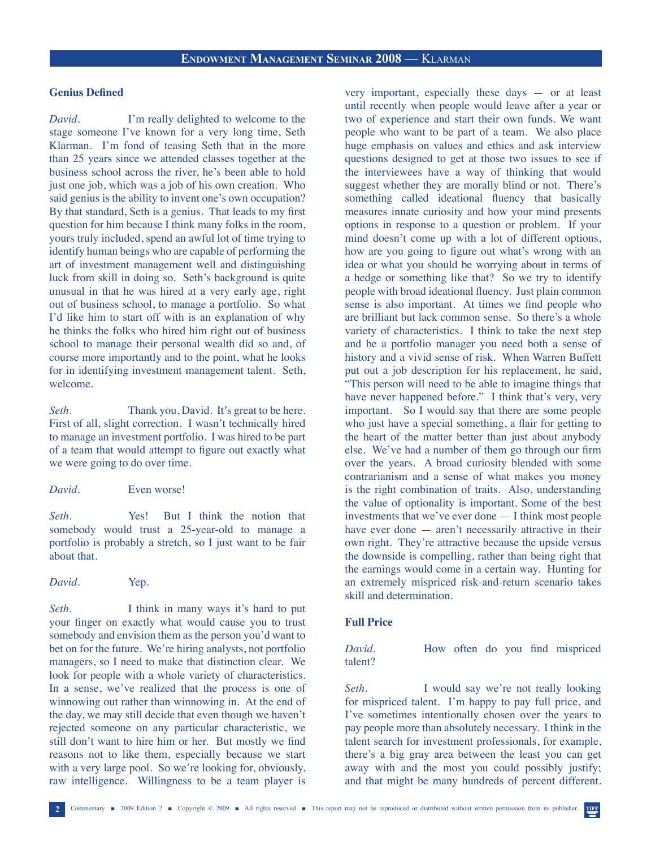# **Genius Defined**

*David.* I'm really delighted to welcome to the stage someone I've known for a very long time, Seth Klarman. I'm fond of teasing Seth that in the more than 25 years since we attended classes together at the business school across the river, he's been able to hold just one job, which was a job of his own creation. Who said genius is the ability to invent one's own occupation? By that standard, Seth is a genius. That leads to my first question for him because I think many folks in the room, yours truly included, spend an awful lot of time trying to identify human beings who are capable of performing the art of investment management well and distinguishing luck from skill in doing so. Seth's background is quite unusual in that he was hired at a very early age, right out of business school, to manage a portfolio. So what I'd like him to start off with is an explanation of why he thinks the folks who hired him right out of business school to manage their personal wealth did so and, of course more importantly and to the point, what he looks for in identifying investment management talent. Seth, welcome.

*Seth.* Thank you, David. It's great to be here. First of all, slight correction. I wasn't technically hired to manage an investment portfolio. I was hired to be part of a team that would attempt to figure out exactly what we were going to do over time.

*David.* Even worse!

*Seth.* Yes! But I think the notion that somebody would trust a 25-year-old to manage a portfolio is probably a stretch, so I just want to be fair about that.

*David.* Yep.

*Seth*. I think in many ways it's hard to put your finger on exactly what would cause you to trust somebody and envision them as the person you'd want to bet on for the future. We're hiring analysts, not portfolio managers, so I need to make that distinction clear. We look for people with a whole variety of characteristics. In a sense, we've realized that the process is one of winnowing out rather than winnowing in. At the end of the day, we may still decide that even though we haven't rejected someone on any particular characteristic, we still don't want to hire him or her. But mostly we find reasons not to like them, especially because we start with a very large pool. So we're looking for, obviously, raw intelligence. Willingness to be a team player is

very important, especially these days — or at least until recently when people would leave after a year or two of experience and start their own funds. We want people who want to be part of a team. We also place huge emphasis on values and ethics and ask interview questions designed to get at those two issues to see if the interviewees have a way of thinking that would suggest whether they are morally blind or not. There's something called ideational fluency that basically measures innate curiosity and how your mind presents options in response to a question or problem. If your mind doesn't come up with a lot of different options, how are you going to figure out what's wrong with an idea or what you should be worrying about in terms of a hedge or something like that? So we try to identify people with broad ideational fluency. Just plain common sense is also important. At times we find people who are brilliant but lack common sense. So there's a whole variety of characteristics. I think to take the next step and be a portfolio manager you need both a sense of history and a vivid sense of risk. When Warren Buffett put out a job description for his replacement, he said, "This person will need to be able to imagine things that have never happened before." I think that's very, very important. So I would say that there are some people who just have a special something, a flair for getting to the heart of the matter better than just about anybody else. We've had a number of them go through our firm over the years. A broad curiosity blended with some contrarianism and a sense of what makes you money is the right combination of traits. Also, understanding the value of optionality is important. Some of the best investments that we've ever done — I think most people have ever done — aren't necessarily attractive in their own right. They're attractive because the upside versus the downside is compelling, rather than being right that the earnings would come in a certain way. Hunting for an extremely mispriced risk-and-return scenario takes skill and determination.

# **Full Price**

*David.* How often do you find mispriced talent?

Seth. I would say we're not really looking for mispriced talent. I'm happy to pay full price, and I've sometimes intentionally chosen over the years to pay people more than absolutely necessary. I think in the talent search for investment professionals, for example, there's a big gray area between the least you can get away with and the most you could possibly justify; and that might be many hundreds of percent different.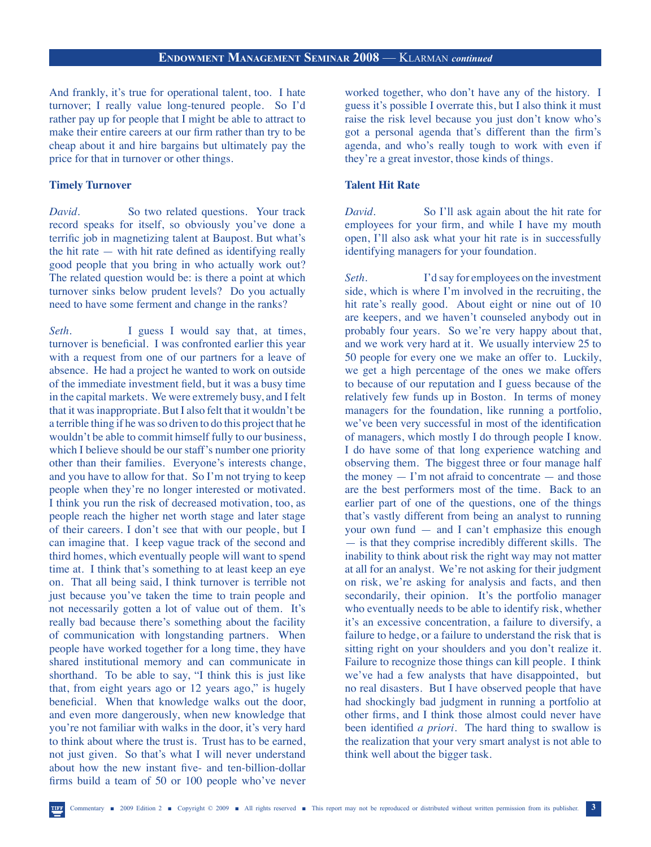And frankly, it's true for operational talent, too. I hate turnover; I really value long-tenured people. So I'd rather pay up for people that I might be able to attract to make their entire careers at our firm rather than try to be cheap about it and hire bargains but ultimately pay the price for that in turnover or other things.

# **Timely Turnover**

*David.* So two related questions. Your track record speaks for itself, so obviously you've done a terrific job in magnetizing talent at Baupost. But what's the hit rate — with hit rate defined as identifying really good people that you bring in who actually work out? The related question would be: is there a point at which turnover sinks below prudent levels? Do you actually need to have some ferment and change in the ranks?

Seth. I guess I would say that, at times, turnover is beneficial. I was confronted earlier this year with a request from one of our partners for a leave of absence. He had a project he wanted to work on outside of the immediate investment field, but it was a busy time in the capital markets. We were extremely busy, and I felt that it was inappropriate. But I also felt that it wouldn't be a terrible thing if he was so driven to do this project that he wouldn't be able to commit himself fully to our business, which I believe should be our staff's number one priority other than their families. Everyone's interests change, and you have to allow for that. So I'm not trying to keep people when they're no longer interested or motivated. I think you run the risk of decreased motivation, too, as people reach the higher net worth stage and later stage of their careers. I don't see that with our people, but I can imagine that. I keep vague track of the second and third homes, which eventually people will want to spend time at. I think that's something to at least keep an eye on. That all being said, I think turnover is terrible not just because you've taken the time to train people and not necessarily gotten a lot of value out of them. It's really bad because there's something about the facility of communication with longstanding partners. When people have worked together for a long time, they have shared institutional memory and can communicate in shorthand. To be able to say, "I think this is just like that, from eight years ago or 12 years ago," is hugely beneficial. When that knowledge walks out the door, and even more dangerously, when new knowledge that you're not familiar with walks in the door, it's very hard to think about where the trust is. Trust has to be earned, not just given. So that's what I will never understand about how the new instant five- and ten-billion-dollar firms build a team of 50 or 100 people who've never

worked together, who don't have any of the history. I guess it's possible I overrate this, but I also think it must raise the risk level because you just don't know who's got a personal agenda that's different than the firm's agenda, and who's really tough to work with even if they're a great investor, those kinds of things.

# **Talent Hit Rate**

*David.* So I'll ask again about the hit rate for employees for your firm, and while I have my mouth open, I'll also ask what your hit rate is in successfully identifying managers for your foundation.

*Seth.* I'd say for employees on the investment side, which is where I'm involved in the recruiting, the hit rate's really good. About eight or nine out of 10 are keepers, and we haven't counseled anybody out in probably four years. So we're very happy about that, and we work very hard at it. We usually interview 25 to 50 people for every one we make an offer to. Luckily, we get a high percentage of the ones we make offers to because of our reputation and I guess because of the relatively few funds up in Boston. In terms of money managers for the foundation, like running a portfolio, we've been very successful in most of the identification of managers, which mostly I do through people I know. I do have some of that long experience watching and observing them. The biggest three or four manage half the money  $-$  I'm not afraid to concentrate  $-$  and those are the best performers most of the time. Back to an earlier part of one of the questions, one of the things that's vastly different from being an analyst to running your own fund — and I can't emphasize this enough — is that they comprise incredibly different skills. The inability to think about risk the right way may not matter at all for an analyst. We're not asking for their judgment on risk, we're asking for analysis and facts, and then secondarily, their opinion. It's the portfolio manager who eventually needs to be able to identify risk, whether it's an excessive concentration, a failure to diversify, a failure to hedge, or a failure to understand the risk that is sitting right on your shoulders and you don't realize it. Failure to recognize those things can kill people. I think we've had a few analysts that have disappointed, but no real disasters. But I have observed people that have had shockingly bad judgment in running a portfolio at other firms, and I think those almost could never have been identified *a priori*. The hard thing to swallow is the realization that your very smart analyst is not able to think well about the bigger task.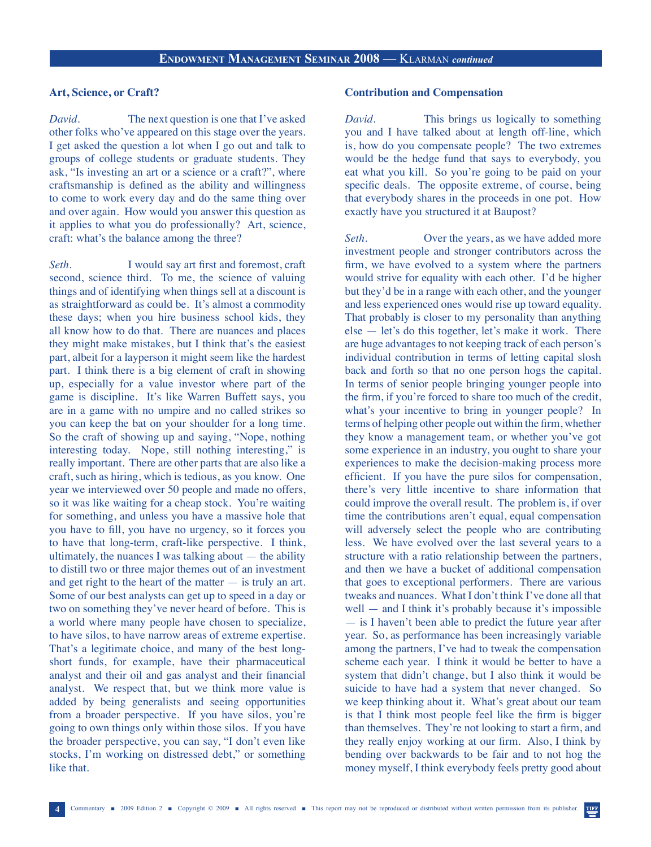# **Art, Science, or Craft?**

*David.* The next question is one that I've asked other folks who've appeared on this stage over the years. I get asked the question a lot when I go out and talk to groups of college students or graduate students. They ask, "Is investing an art or a science or a craft?", where craftsmanship is defined as the ability and willingness to come to work every day and do the same thing over and over again. How would you answer this question as it applies to what you do professionally? Art, science, craft: what's the balance among the three?

*Seth.* I would say art first and foremost, craft second, science third. To me, the science of valuing things and of identifying when things sell at a discount is as straightforward as could be. It's almost a commodity these days; when you hire business school kids, they all know how to do that. There are nuances and places they might make mistakes, but I think that's the easiest part, albeit for a layperson it might seem like the hardest part. I think there is a big element of craft in showing up, especially for a value investor where part of the game is discipline. It's like Warren Buffett says, you are in a game with no umpire and no called strikes so you can keep the bat on your shoulder for a long time. So the craft of showing up and saying, "Nope, nothing interesting today. Nope, still nothing interesting," is really important. There are other parts that are also like a craft, such as hiring, which is tedious, as you know. One year we interviewed over 50 people and made no offers, so it was like waiting for a cheap stock. You're waiting for something, and unless you have a massive hole that you have to fill, you have no urgency, so it forces you to have that long-term, craft-like perspective. I think, ultimately, the nuances I was talking about — the ability to distill two or three major themes out of an investment and get right to the heart of the matter  $-$  is truly an art. Some of our best analysts can get up to speed in a day or two on something they've never heard of before. This is a world where many people have chosen to specialize, to have silos, to have narrow areas of extreme expertise. That's a legitimate choice, and many of the best longshort funds, for example, have their pharmaceutical analyst and their oil and gas analyst and their financial analyst. We respect that, but we think more value is added by being generalists and seeing opportunities from a broader perspective. If you have silos, you're going to own things only within those silos. If you have the broader perspective, you can say, "I don't even like stocks, I'm working on distressed debt," or something like that.

# **Contribution and Compensation**

*David.* This brings us logically to something you and I have talked about at length off-line, which is, how do you compensate people? The two extremes would be the hedge fund that says to everybody, you eat what you kill. So you're going to be paid on your specific deals. The opposite extreme, of course, being that everybody shares in the proceeds in one pot. How exactly have you structured it at Baupost?

Seth. Over the years, as we have added more investment people and stronger contributors across the firm, we have evolved to a system where the partners would strive for equality with each other. I'd be higher but they'd be in a range with each other, and the younger and less experienced ones would rise up toward equality. That probably is closer to my personality than anything else — let's do this together, let's make it work. There are huge advantages to not keeping track of each person's individual contribution in terms of letting capital slosh back and forth so that no one person hogs the capital. In terms of senior people bringing younger people into the firm, if you're forced to share too much of the credit, what's your incentive to bring in younger people? In terms of helping other people out within the firm, whether they know a management team, or whether you've got some experience in an industry, you ought to share your experiences to make the decision-making process more efficient. If you have the pure silos for compensation, there's very little incentive to share information that could improve the overall result. The problem is, if over time the contributions aren't equal, equal compensation will adversely select the people who are contributing less. We have evolved over the last several years to a structure with a ratio relationship between the partners, and then we have a bucket of additional compensation that goes to exceptional performers. There are various tweaks and nuances. What I don't think I've done all that well — and I think it's probably because it's impossible — is I haven't been able to predict the future year after year. So, as performance has been increasingly variable among the partners, I've had to tweak the compensation scheme each year. I think it would be better to have a system that didn't change, but I also think it would be suicide to have had a system that never changed. So we keep thinking about it. What's great about our team is that I think most people feel like the firm is bigger than themselves. They're not looking to start a firm, and they really enjoy working at our firm. Also, I think by bending over backwards to be fair and to not hog the money myself, I think everybody feels pretty good about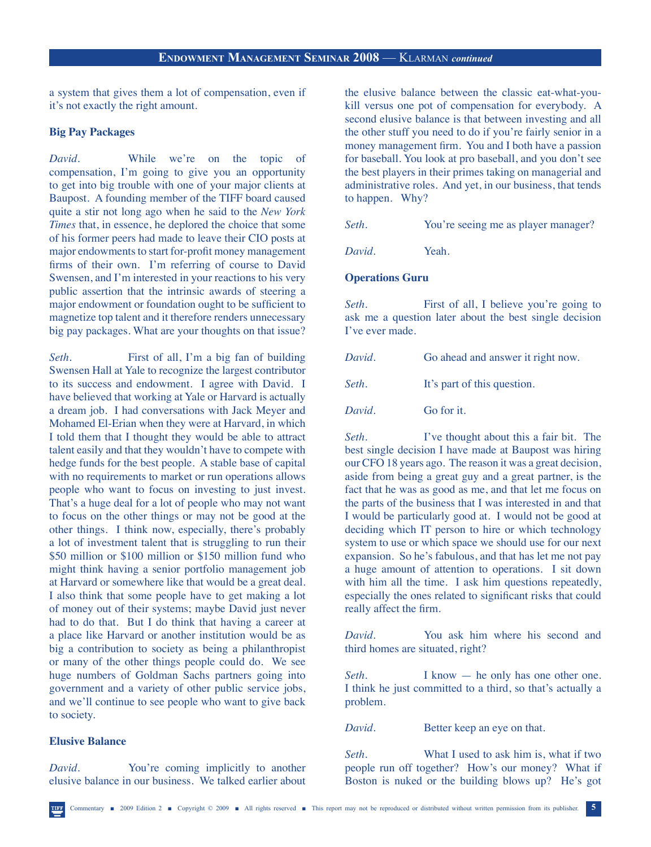a system that gives them a lot of compensation, even if it's not exactly the right amount.

#### **Big Pay Packages**

*David.* While we're on the topic of compensation, I'm going to give you an opportunity to get into big trouble with one of your major clients at Baupost. A founding member of the TIFF board caused quite a stir not long ago when he said to the *New York Times* that, in essence, he deplored the choice that some of his former peers had made to leave their CIO posts at major endowments to start for-profit money management firms of their own. I'm referring of course to David Swensen, and I'm interested in your reactions to his very public assertion that the intrinsic awards of steering a major endowment or foundation ought to be sufficient to magnetize top talent and it therefore renders unnecessary big pay packages. What are your thoughts on that issue?

*Seth.* First of all, I'm a big fan of building Swensen Hall at Yale to recognize the largest contributor to its success and endowment. I agree with David. I have believed that working at Yale or Harvard is actually a dream job. I had conversations with Jack Meyer and Mohamed El-Erian when they were at Harvard, in which I told them that I thought they would be able to attract talent easily and that they wouldn't have to compete with hedge funds for the best people. A stable base of capital with no requirements to market or run operations allows people who want to focus on investing to just invest. That's a huge deal for a lot of people who may not want to focus on the other things or may not be good at the other things. I think now, especially, there's probably a lot of investment talent that is struggling to run their \$50 million or \$100 million or \$150 million fund who might think having a senior portfolio management job at Harvard or somewhere like that would be a great deal. I also think that some people have to get making a lot of money out of their systems; maybe David just never had to do that. But I do think that having a career at a place like Harvard or another institution would be as big a contribution to society as being a philanthropist or many of the other things people could do. We see huge numbers of Goldman Sachs partners going into government and a variety of other public service jobs, and we'll continue to see people who want to give back to society.

# **Elusive Balance**

*David.* You're coming implicitly to another elusive balance in our business. We talked earlier about the elusive balance between the classic eat-what-youkill versus one pot of compensation for everybody. A second elusive balance is that between investing and all the other stuff you need to do if you're fairly senior in a money management firm. You and I both have a passion for baseball. You look at pro baseball, and you don't see the best players in their primes taking on managerial and administrative roles. And yet, in our business, that tends to happen. Why?

*Seth.* You're seeing me as player manager?

*David.* Yeah.

# **Operations Guru**

*Seth.* First of all, I believe you're going to ask me a question later about the best single decision I've ever made.

| David. |  |  | Go ahead and answer it right now. |
|--------|--|--|-----------------------------------|
|--------|--|--|-----------------------------------|

*Seth*. It's part of this question.

*David* **Go for it.** 

*Seth.* I've thought about this a fair bit. The best single decision I have made at Baupost was hiring our CFO 18 years ago. The reason it was a great decision, aside from being a great guy and a great partner, is the fact that he was as good as me, and that let me focus on the parts of the business that I was interested in and that I would be particularly good at. I would not be good at deciding which IT person to hire or which technology system to use or which space we should use for our next expansion. So he's fabulous, and that has let me not pay a huge amount of attention to operations. I sit down with him all the time. I ask him questions repeatedly, especially the ones related to significant risks that could really affect the firm.

*David.* You ask him where his second and third homes are situated, right?

*Seth.* I know — he only has one other one. I think he just committed to a third, so that's actually a problem.

*David.* Better keep an eye on that.

*Seth.* What I used to ask him is, what if two people run off together? How's our money? What if Boston is nuked or the building blows up? He's got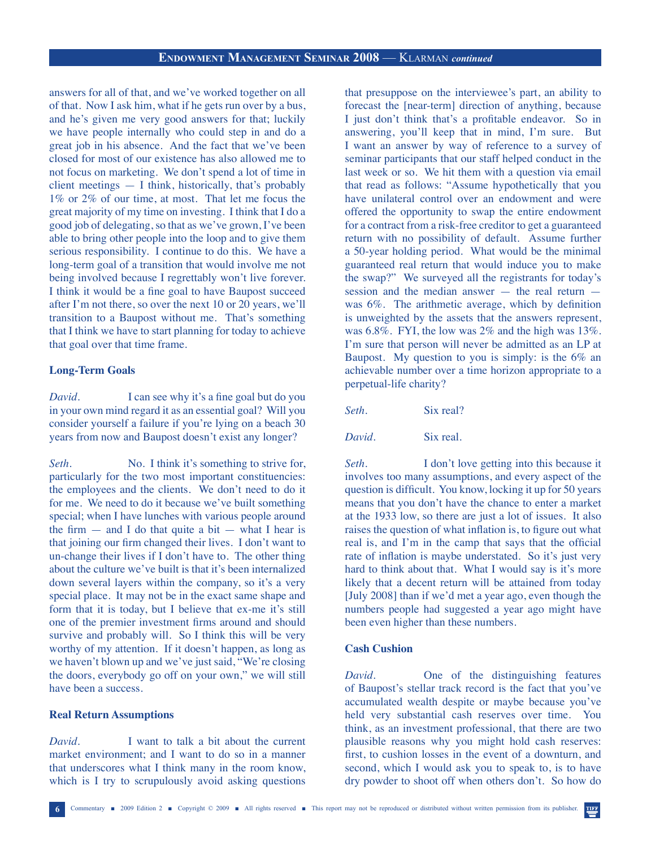answers for all of that, and we've worked together on all of that. Now I ask him, what if he gets run over by a bus, and he's given me very good answers for that; luckily we have people internally who could step in and do a great job in his absence. And the fact that we've been closed for most of our existence has also allowed me to not focus on marketing. We don't spend a lot of time in client meetings — I think, historically, that's probably 1% or 2% of our time, at most. That let me focus the great majority of my time on investing. I think that I do a good job of delegating, so that as we've grown, I've been able to bring other people into the loop and to give them serious responsibility. I continue to do this. We have a long-term goal of a transition that would involve me not being involved because I regrettably won't live forever. I think it would be a fine goal to have Baupost succeed after I'm not there, so over the next 10 or 20 years, we'll transition to a Baupost without me. That's something that I think we have to start planning for today to achieve that goal over that time frame.

# **Long-Term Goals**

*David.* I can see why it's a fine goal but do you in your own mind regard it as an essential goal? Will you consider yourself a failure if you're lying on a beach 30 years from now and Baupost doesn't exist any longer?

*Seth.* No. I think it's something to strive for, particularly for the two most important constituencies: the employees and the clients. We don't need to do it for me. We need to do it because we've built something special; when I have lunches with various people around the firm  $-$  and I do that quite a bit  $-$  what I hear is that joining our firm changed their lives. I don't want to un-change their lives if I don't have to. The other thing about the culture we've built is that it's been internalized down several layers within the company, so it's a very special place. It may not be in the exact same shape and form that it is today, but I believe that ex-me it's still one of the premier investment firms around and should survive and probably will. So I think this will be very worthy of my attention. If it doesn't happen, as long as we haven't blown up and we've just said, "We're closing the doors, everybody go off on your own," we will still have been a success.

# **Real Return Assumptions**

*David.* I want to talk a bit about the current market environment; and I want to do so in a manner that underscores what I think many in the room know, which is I try to scrupulously avoid asking questions

that presuppose on the interviewee's part, an ability to forecast the [near-term] direction of anything, because I just don't think that's a profitable endeavor. So in answering, you'll keep that in mind, I'm sure. But I want an answer by way of reference to a survey of seminar participants that our staff helped conduct in the last week or so. We hit them with a question via email that read as follows: "Assume hypothetically that you have unilateral control over an endowment and were offered the opportunity to swap the entire endowment for a contract from a risk-free creditor to get a guaranteed return with no possibility of default. Assume further a 50-year holding period. What would be the minimal guaranteed real return that would induce you to make the swap?" We surveyed all the registrants for today's session and the median answer — the real return was 6%. The arithmetic average, which by definition is unweighted by the assets that the answers represent, was 6.8%. FYI, the low was 2% and the high was 13%. I'm sure that person will never be admitted as an LP at Baupost. My question to you is simply: is the 6% an achievable number over a time horizon appropriate to a perpetual-life charity?

*Seth.* Six real?

*David.* Six real.

Seth. I don't love getting into this because it involves too many assumptions, and every aspect of the question is difficult. You know, locking it up for 50 years means that you don't have the chance to enter a market at the 1933 low, so there are just a lot of issues. It also raises the question of what inflation is, to figure out what real is, and I'm in the camp that says that the official rate of inflation is maybe understated. So it's just very hard to think about that. What I would say is it's more likely that a decent return will be attained from today [July 2008] than if we'd met a year ago, even though the numbers people had suggested a year ago might have been even higher than these numbers.

#### **Cash Cushion**

*David.* One of the distinguishing features of Baupost's stellar track record is the fact that you've accumulated wealth despite or maybe because you've held very substantial cash reserves over time. You think, as an investment professional, that there are two plausible reasons why you might hold cash reserves: first, to cushion losses in the event of a downturn, and second, which I would ask you to speak to, is to have dry powder to shoot off when others don't. So how do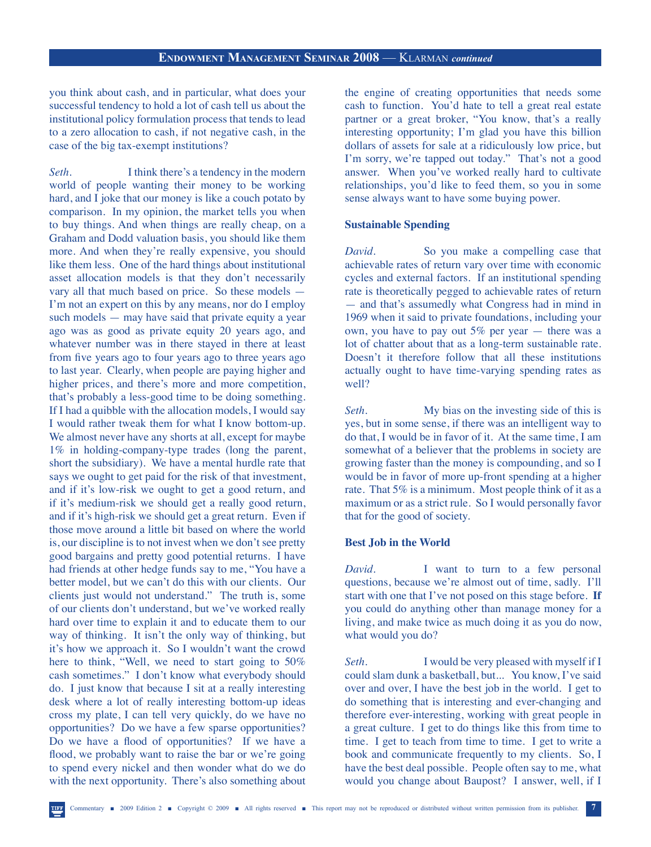you think about cash, and in particular, what does your successful tendency to hold a lot of cash tell us about the institutional policy formulation process that tends to lead to a zero allocation to cash, if not negative cash, in the case of the big tax-exempt institutions?

*Seth*. I think there's a tendency in the modern world of people wanting their money to be working hard, and I joke that our money is like a couch potato by comparison. In my opinion, the market tells you when to buy things. And when things are really cheap, on a Graham and Dodd valuation basis, you should like them more. And when they're really expensive, you should like them less. One of the hard things about institutional asset allocation models is that they don't necessarily vary all that much based on price. So these models — I'm not an expert on this by any means, nor do I employ such models — may have said that private equity a year ago was as good as private equity 20 years ago, and whatever number was in there stayed in there at least from five years ago to four years ago to three years ago to last year. Clearly, when people are paying higher and higher prices, and there's more and more competition, that's probably a less-good time to be doing something. If I had a quibble with the allocation models, I would say I would rather tweak them for what I know bottom-up. We almost never have any shorts at all, except for maybe 1% in holding-company-type trades (long the parent, short the subsidiary). We have a mental hurdle rate that says we ought to get paid for the risk of that investment, and if it's low-risk we ought to get a good return, and if it's medium-risk we should get a really good return, and if it's high-risk we should get a great return. Even if those move around a little bit based on where the world is, our discipline is to not invest when we don't see pretty good bargains and pretty good potential returns. I have had friends at other hedge funds say to me, "You have a better model, but we can't do this with our clients. Our clients just would not understand." The truth is, some of our clients don't understand, but we've worked really hard over time to explain it and to educate them to our way of thinking. It isn't the only way of thinking, but it's how we approach it. So I wouldn't want the crowd here to think, "Well, we need to start going to 50% cash sometimes." I don't know what everybody should do. I just know that because I sit at a really interesting desk where a lot of really interesting bottom-up ideas cross my plate, I can tell very quickly, do we have no opportunities? Do we have a few sparse opportunities? Do we have a flood of opportunities? If we have a flood, we probably want to raise the bar or we're going to spend every nickel and then wonder what do we do with the next opportunity. There's also something about

the engine of creating opportunities that needs some cash to function. You'd hate to tell a great real estate partner or a great broker, "You know, that's a really interesting opportunity; I'm glad you have this billion dollars of assets for sale at a ridiculously low price, but I'm sorry, we're tapped out today." That's not a good answer. When you've worked really hard to cultivate relationships, you'd like to feed them, so you in some sense always want to have some buying power.

# **Sustainable Spending**

*David.* So you make a compelling case that achievable rates of return vary over time with economic cycles and external factors. If an institutional spending rate is theoretically pegged to achievable rates of return — and that's assumedly what Congress had in mind in 1969 when it said to private foundations, including your own, you have to pay out 5% per year — there was a lot of chatter about that as a long-term sustainable rate. Doesn't it therefore follow that all these institutions actually ought to have time-varying spending rates as well?

*Seth*. My bias on the investing side of this is yes, but in some sense, if there was an intelligent way to do that, I would be in favor of it. At the same time, I am somewhat of a believer that the problems in society are growing faster than the money is compounding, and so I would be in favor of more up-front spending at a higher rate. That 5% is a minimum. Most people think of it as a maximum or as a strict rule. So I would personally favor that for the good of society.

# **Best Job in the World**

*David.* I want to turn to a few personal questions, because we're almost out of time, sadly. I'll start with one that I've not posed on this stage before. **If** you could do anything other than manage money for a living, and make twice as much doing it as you do now, what would you do?

*Seth.* I would be very pleased with myself if I could slam dunk a basketball, but... You know, I've said over and over, I have the best job in the world. I get to do something that is interesting and ever-changing and therefore ever-interesting, working with great people in a great culture. I get to do things like this from time to time. I get to teach from time to time. I get to write a book and communicate frequently to my clients. So, I have the best deal possible. People often say to me, what would you change about Baupost? I answer, well, if I